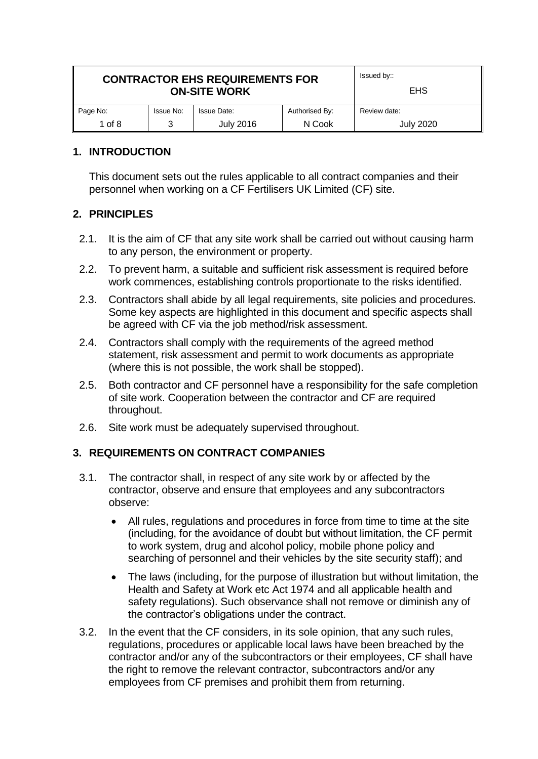| <b>CONTRACTOR EHS REQUIREMENTS FOR</b><br><b>ON-SITE WORK</b> |                  |                    |                | Issued by:<br><b>EHS</b> |
|---------------------------------------------------------------|------------------|--------------------|----------------|--------------------------|
| Page No:                                                      | <b>Issue No:</b> | <b>Issue Date:</b> | Authorised By: | Review date:             |
| 1 of $8$                                                      | વ                | <b>July 2016</b>   | N Cook         | <b>July 2020</b>         |

## **1. INTRODUCTION**

This document sets out the rules applicable to all contract companies and their personnel when working on a CF Fertilisers UK Limited (CF) site.

## **2. PRINCIPLES**

- 2.1. It is the aim of CF that any site work shall be carried out without causing harm to any person, the environment or property.
- 2.2. To prevent harm, a suitable and sufficient risk assessment is required before work commences, establishing controls proportionate to the risks identified.
- 2.3. Contractors shall abide by all legal requirements, site policies and procedures. Some key aspects are highlighted in this document and specific aspects shall be agreed with CF via the job method/risk assessment.
- 2.4. Contractors shall comply with the requirements of the agreed method statement, risk assessment and permit to work documents as appropriate (where this is not possible, the work shall be stopped).
- 2.5. Both contractor and CF personnel have a responsibility for the safe completion of site work. Cooperation between the contractor and CF are required throughout.
- 2.6. Site work must be adequately supervised throughout.

## **3. REQUIREMENTS ON CONTRACT COMPANIES**

- 3.1. The contractor shall, in respect of any site work by or affected by the contractor, observe and ensure that employees and any subcontractors observe:
	- All rules, regulations and procedures in force from time to time at the site (including, for the avoidance of doubt but without limitation, the CF permit to work system, drug and alcohol policy, mobile phone policy and searching of personnel and their vehicles by the site security staff); and
	- The laws (including, for the purpose of illustration but without limitation, the Health and Safety at Work etc Act 1974 and all applicable health and safety regulations). Such observance shall not remove or diminish any of the contractor's obligations under the contract.
- 3.2. In the event that the CF considers, in its sole opinion, that any such rules, regulations, procedures or applicable local laws have been breached by the contractor and/or any of the subcontractors or their employees, CF shall have the right to remove the relevant contractor, subcontractors and/or any employees from CF premises and prohibit them from returning.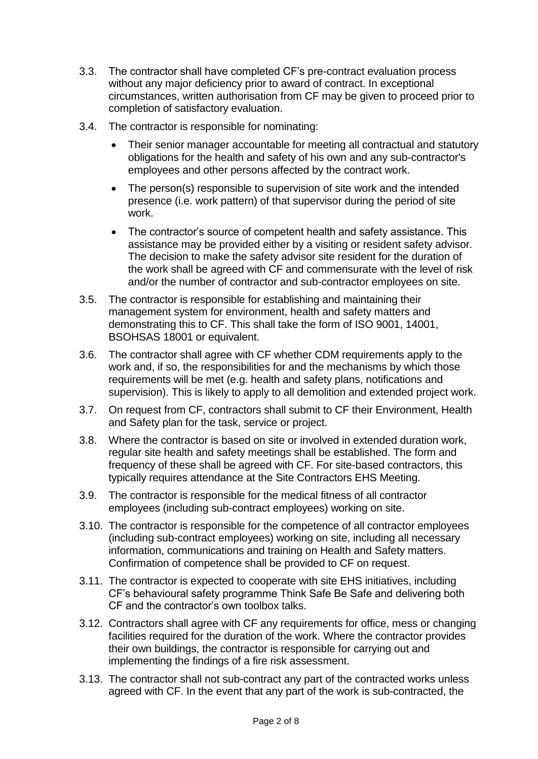- 3.3. The contractor shall have completed CF's pre-contract evaluation process without any major deficiency prior to award of contract. In exceptional circumstances, written authorisation from CF may be given to proceed prior to completion of satisfactory evaluation.
- 3.4. The contractor is responsible for nominating:
	- Their senior manager accountable for meeting all contractual and statutory obligations for the health and safety of his own and any sub-contractor's employees and other persons affected by the contract work.
	- The person(s) responsible to supervision of site work and the intended presence (i.e. work pattern) of that supervisor during the period of site work.
	- The contractor's source of competent health and safety assistance. This assistance may be provided either by a visiting or resident safety advisor. The decision to make the safety advisor site resident for the duration of the work shall be agreed with CF and commensurate with the level of risk and/or the number of contractor and sub-contractor employees on site.
- 3.5. The contractor is responsible for establishing and maintaining their management system for environment, health and safety matters and demonstrating this to CF. This shall take the form of ISO 9001, 14001, BSOHSAS 18001 or equivalent.
- 3.6. The contractor shall agree with CF whether CDM requirements apply to the work and, if so, the responsibilities for and the mechanisms by which those requirements will be met (e.g. health and safety plans, notifications and supervision). This is likely to apply to all demolition and extended project work.
- 3.7. On request from CF, contractors shall submit to CF their Environment, Health and Safety plan for the task, service or project.
- 3.8. Where the contractor is based on site or involved in extended duration work, regular site health and safety meetings shall be established. The form and frequency of these shall be agreed with CF. For site-based contractors, this typically requires attendance at the Site Contractors EHS Meeting.
- 3.9. The contractor is responsible for the medical fitness of all contractor employees (including sub-contract employees) working on site.
- 3.10. The contractor is responsible for the competence of all contractor employees (including sub-contract employees) working on site, including all necessary information, communications and training on Health and Safety matters. Confirmation of competence shall be provided to CF on request.
- 3.11. The contractor is expected to cooperate with site EHS initiatives, including CF's behavioural safety programme Think Safe Be Safe and delivering both CF and the contractor's own toolbox talks.
- 3.12. Contractors shall agree with CF any requirements for office, mess or changing facilities required for the duration of the work. Where the contractor provides their own buildings, the contractor is responsible for carrying out and implementing the findings of a fire risk assessment.
- 3.13. The contractor shall not sub-contract any part of the contracted works unless agreed with CF. In the event that any part of the work is sub-contracted, the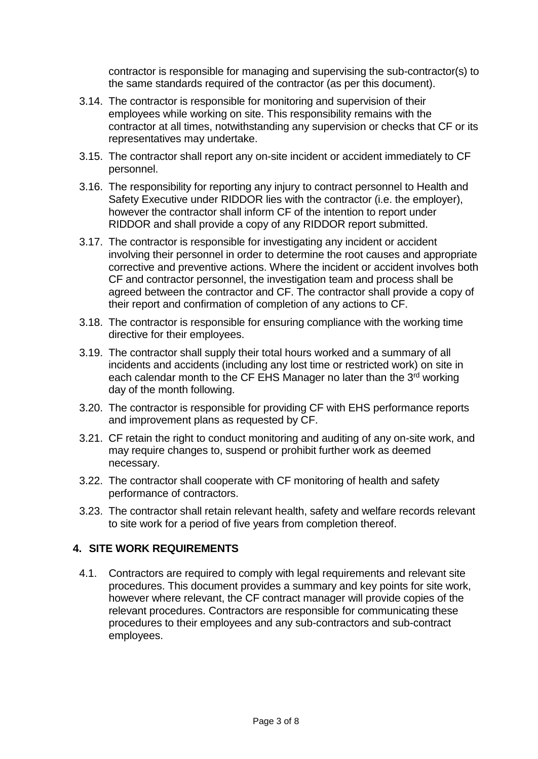contractor is responsible for managing and supervising the sub-contractor(s) to the same standards required of the contractor (as per this document).

- 3.14. The contractor is responsible for monitoring and supervision of their employees while working on site. This responsibility remains with the contractor at all times, notwithstanding any supervision or checks that CF or its representatives may undertake.
- 3.15. The contractor shall report any on-site incident or accident immediately to CF personnel.
- 3.16. The responsibility for reporting any injury to contract personnel to Health and Safety Executive under RIDDOR lies with the contractor (i.e. the employer), however the contractor shall inform CF of the intention to report under RIDDOR and shall provide a copy of any RIDDOR report submitted.
- 3.17. The contractor is responsible for investigating any incident or accident involving their personnel in order to determine the root causes and appropriate corrective and preventive actions. Where the incident or accident involves both CF and contractor personnel, the investigation team and process shall be agreed between the contractor and CF. The contractor shall provide a copy of their report and confirmation of completion of any actions to CF.
- 3.18. The contractor is responsible for ensuring compliance with the working time directive for their employees.
- 3.19. The contractor shall supply their total hours worked and a summary of all incidents and accidents (including any lost time or restricted work) on site in each calendar month to the CF EHS Manager no later than the 3<sup>rd</sup> working day of the month following.
- 3.20. The contractor is responsible for providing CF with EHS performance reports and improvement plans as requested by CF.
- 3.21. CF retain the right to conduct monitoring and auditing of any on-site work, and may require changes to, suspend or prohibit further work as deemed necessary.
- 3.22. The contractor shall cooperate with CF monitoring of health and safety performance of contractors.
- 3.23. The contractor shall retain relevant health, safety and welfare records relevant to site work for a period of five years from completion thereof.

## **4. SITE WORK REQUIREMENTS**

4.1. Contractors are required to comply with legal requirements and relevant site procedures. This document provides a summary and key points for site work, however where relevant, the CF contract manager will provide copies of the relevant procedures. Contractors are responsible for communicating these procedures to their employees and any sub-contractors and sub-contract employees.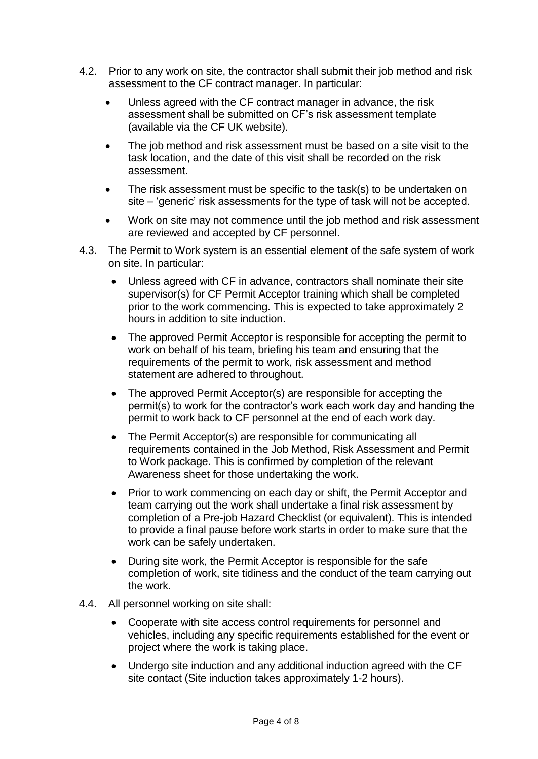- 4.2. Prior to any work on site, the contractor shall submit their job method and risk assessment to the CF contract manager. In particular:
	- Unless agreed with the CF contract manager in advance, the risk assessment shall be submitted on CF's risk assessment template (available via the CF UK website).
	- The job method and risk assessment must be based on a site visit to the task location, and the date of this visit shall be recorded on the risk assessment.
	- The risk assessment must be specific to the task(s) to be undertaken on site – 'generic' risk assessments for the type of task will not be accepted.
	- Work on site may not commence until the job method and risk assessment are reviewed and accepted by CF personnel.
- 4.3. The Permit to Work system is an essential element of the safe system of work on site. In particular:
	- Unless agreed with CF in advance, contractors shall nominate their site supervisor(s) for CF Permit Acceptor training which shall be completed prior to the work commencing. This is expected to take approximately 2 hours in addition to site induction.
	- The approved Permit Acceptor is responsible for accepting the permit to work on behalf of his team, briefing his team and ensuring that the requirements of the permit to work, risk assessment and method statement are adhered to throughout.
	- The approved Permit Acceptor(s) are responsible for accepting the permit(s) to work for the contractor's work each work day and handing the permit to work back to CF personnel at the end of each work day.
	- The Permit Acceptor(s) are responsible for communicating all requirements contained in the Job Method, Risk Assessment and Permit to Work package. This is confirmed by completion of the relevant Awareness sheet for those undertaking the work.
	- Prior to work commencing on each day or shift, the Permit Acceptor and team carrying out the work shall undertake a final risk assessment by completion of a Pre-job Hazard Checklist (or equivalent). This is intended to provide a final pause before work starts in order to make sure that the work can be safely undertaken.
	- During site work, the Permit Acceptor is responsible for the safe completion of work, site tidiness and the conduct of the team carrying out the work.
- 4.4. All personnel working on site shall:
	- Cooperate with site access control requirements for personnel and vehicles, including any specific requirements established for the event or project where the work is taking place.
	- Undergo site induction and any additional induction agreed with the CF site contact (Site induction takes approximately 1-2 hours).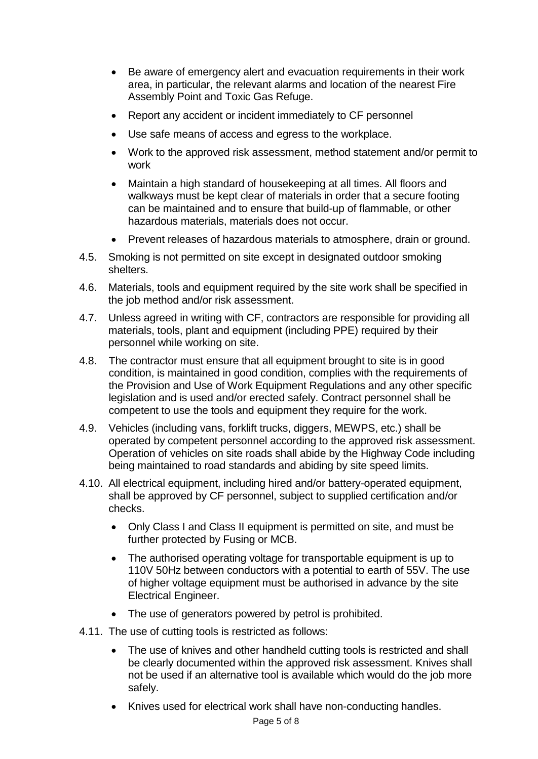- Be aware of emergency alert and evacuation requirements in their work area, in particular, the relevant alarms and location of the nearest Fire Assembly Point and Toxic Gas Refuge.
- Report any accident or incident immediately to CF personnel
- Use safe means of access and egress to the workplace.
- Work to the approved risk assessment, method statement and/or permit to work
- Maintain a high standard of housekeeping at all times. All floors and walkways must be kept clear of materials in order that a secure footing can be maintained and to ensure that build-up of flammable, or other hazardous materials, materials does not occur.
- Prevent releases of hazardous materials to atmosphere, drain or ground.
- 4.5. Smoking is not permitted on site except in designated outdoor smoking shelters.
- 4.6. Materials, tools and equipment required by the site work shall be specified in the job method and/or risk assessment.
- 4.7. Unless agreed in writing with CF, contractors are responsible for providing all materials, tools, plant and equipment (including PPE) required by their personnel while working on site.
- 4.8. The contractor must ensure that all equipment brought to site is in good condition, is maintained in good condition, complies with the requirements of the Provision and Use of Work Equipment Regulations and any other specific legislation and is used and/or erected safely. Contract personnel shall be competent to use the tools and equipment they require for the work.
- 4.9. Vehicles (including vans, forklift trucks, diggers, MEWPS, etc.) shall be operated by competent personnel according to the approved risk assessment. Operation of vehicles on site roads shall abide by the Highway Code including being maintained to road standards and abiding by site speed limits.
- 4.10. All electrical equipment, including hired and/or battery-operated equipment, shall be approved by CF personnel, subject to supplied certification and/or checks.
	- Only Class I and Class II equipment is permitted on site, and must be further protected by Fusing or MCB.
	- The authorised operating voltage for transportable equipment is up to 110V 50Hz between conductors with a potential to earth of 55V. The use of higher voltage equipment must be authorised in advance by the site Electrical Engineer.
	- The use of generators powered by petrol is prohibited.
- 4.11. The use of cutting tools is restricted as follows:
	- The use of knives and other handheld cutting tools is restricted and shall be clearly documented within the approved risk assessment. Knives shall not be used if an alternative tool is available which would do the job more safely.
	- Knives used for electrical work shall have non-conducting handles.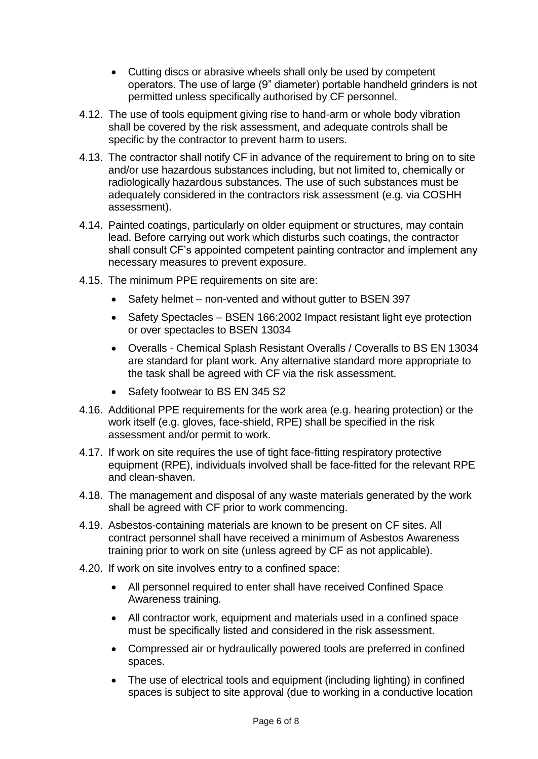- Cutting discs or abrasive wheels shall only be used by competent operators. The use of large (9" diameter) portable handheld grinders is not permitted unless specifically authorised by CF personnel.
- 4.12. The use of tools equipment giving rise to hand-arm or whole body vibration shall be covered by the risk assessment, and adequate controls shall be specific by the contractor to prevent harm to users.
- 4.13. The contractor shall notify CF in advance of the requirement to bring on to site and/or use hazardous substances including, but not limited to, chemically or radiologically hazardous substances. The use of such substances must be adequately considered in the contractors risk assessment (e.g. via COSHH assessment).
- 4.14. Painted coatings, particularly on older equipment or structures, may contain lead. Before carrying out work which disturbs such coatings, the contractor shall consult CF's appointed competent painting contractor and implement any necessary measures to prevent exposure.
- 4.15. The minimum PPE requirements on site are:
	- Safety helmet non-vented and without gutter to BSEN 397
	- Safety Spectacles BSEN 166:2002 Impact resistant light eye protection or over spectacles to BSEN 13034
	- Overalls Chemical Splash Resistant Overalls / Coveralls to BS EN 13034 are standard for plant work. Any alternative standard more appropriate to the task shall be agreed with CF via the risk assessment.
	- Safety footwear to BS EN 345 S2
- 4.16. Additional PPE requirements for the work area (e.g. hearing protection) or the work itself (e.g. gloves, face-shield, RPE) shall be specified in the risk assessment and/or permit to work.
- 4.17. If work on site requires the use of tight face-fitting respiratory protective equipment (RPE), individuals involved shall be face-fitted for the relevant RPE and clean-shaven.
- 4.18. The management and disposal of any waste materials generated by the work shall be agreed with CF prior to work commencing.
- 4.19. Asbestos-containing materials are known to be present on CF sites. All contract personnel shall have received a minimum of Asbestos Awareness training prior to work on site (unless agreed by CF as not applicable).
- 4.20. If work on site involves entry to a confined space:
	- All personnel required to enter shall have received Confined Space Awareness training.
	- All contractor work, equipment and materials used in a confined space must be specifically listed and considered in the risk assessment.
	- Compressed air or hydraulically powered tools are preferred in confined spaces.
	- The use of electrical tools and equipment (including lighting) in confined spaces is subject to site approval (due to working in a conductive location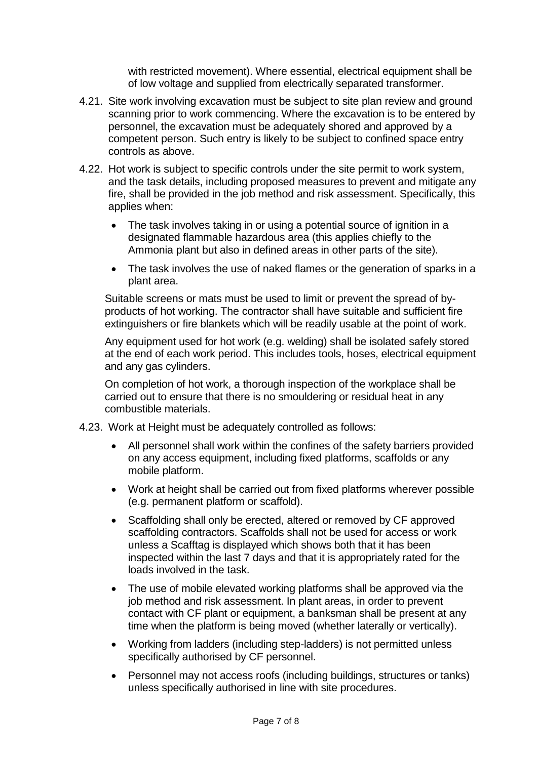with restricted movement). Where essential, electrical equipment shall be of low voltage and supplied from electrically separated transformer.

- 4.21. Site work involving excavation must be subject to site plan review and ground scanning prior to work commencing. Where the excavation is to be entered by personnel, the excavation must be adequately shored and approved by a competent person. Such entry is likely to be subject to confined space entry controls as above.
- 4.22. Hot work is subject to specific controls under the site permit to work system, and the task details, including proposed measures to prevent and mitigate any fire, shall be provided in the job method and risk assessment. Specifically, this applies when:
	- The task involves taking in or using a potential source of ignition in a designated flammable hazardous area (this applies chiefly to the Ammonia plant but also in defined areas in other parts of the site).
	- The task involves the use of naked flames or the generation of sparks in a plant area.

Suitable screens or mats must be used to limit or prevent the spread of byproducts of hot working. The contractor shall have suitable and sufficient fire extinguishers or fire blankets which will be readily usable at the point of work.

Any equipment used for hot work (e.g. welding) shall be isolated safely stored at the end of each work period. This includes tools, hoses, electrical equipment and any gas cylinders.

On completion of hot work, a thorough inspection of the workplace shall be carried out to ensure that there is no smouldering or residual heat in any combustible materials.

- 4.23. Work at Height must be adequately controlled as follows:
	- All personnel shall work within the confines of the safety barriers provided on any access equipment, including fixed platforms, scaffolds or any mobile platform.
	- Work at height shall be carried out from fixed platforms wherever possible (e.g. permanent platform or scaffold).
	- Scaffolding shall only be erected, altered or removed by CF approved scaffolding contractors. Scaffolds shall not be used for access or work unless a Scafftag is displayed which shows both that it has been inspected within the last 7 days and that it is appropriately rated for the loads involved in the task.
	- The use of mobile elevated working platforms shall be approved via the job method and risk assessment. In plant areas, in order to prevent contact with CF plant or equipment, a banksman shall be present at any time when the platform is being moved (whether laterally or vertically).
	- Working from ladders (including step-ladders) is not permitted unless specifically authorised by CF personnel.
	- Personnel may not access roofs (including buildings, structures or tanks) unless specifically authorised in line with site procedures.